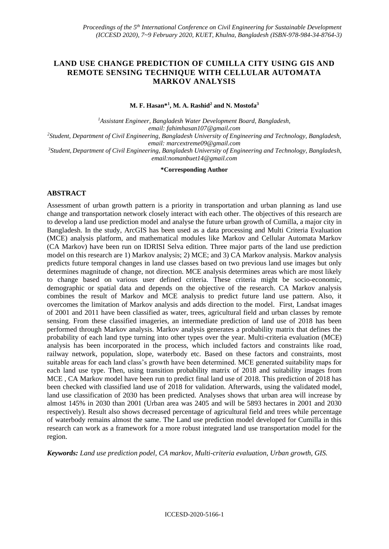# **LAND USE CHANGE PREDICTION OF CUMILLA CITY USING GIS AND REMOTE SENSING TECHNIQUE WITH CELLULAR AUTOMATA MARKOV ANALYSIS**

**M. F. Hasan\*<sup>1</sup> , M. A. Rashid<sup>2</sup> and N. Mostofa<sup>3</sup>**

*<sup>1</sup>Assistant Engineer, Bangladesh Water Development Board, Bangladesh, email: fahimhasan107@gmail.com <sup>2</sup>Student, Department of Civil Engineering, Bangladesh University of Engineering and Technology, Bangladesh, email: marcextreme09@gmail.com*

*<sup>3</sup>Student, Department of Civil Engineering, Bangladesh University of Engineering and Technology, Bangladesh, email:nomanbuet14@gmail.com*

**\*Corresponding Author**

#### **ABSTRACT**

Assessment of urban growth pattern is a priority in transportation and urban planning as land use change and transportation network closely interact with each other. The objectives of this research are to develop a land use prediction model and analyse the future urban growth of Cumilla, a major city in Bangladesh. In the study, ArcGIS has been used as a data processing and Multi Criteria Evaluation (MCE) analysis platform, and mathematical modules like Markov and Cellular Automata Markov (CA Markov) have been run on IDRISI Selva edition. Three major parts of the land use prediction model on this research are 1) Markov analysis; 2) MCE; and 3) CA Markov analysis. Markov analysis predicts future temporal changes in land use classes based on two previous land use images but only determines magnitude of change, not direction. MCE analysis determines areas which are most likely to change based on various user defined criteria. These criteria might be socio-economic, demographic or spatial data and depends on the objective of the research. CA Markov analysis combines the result of Markov and MCE analysis to predict future land use pattern. Also, it overcomes the limitation of Markov analysis and adds direction to the model. First, Landsat images of 2001 and 2011 have been classified as water, trees, agricultural field and urban classes by remote sensing. From these classified imageries, an intermediate prediction of land use of 2018 has been performed through Markov analysis. Markov analysis generates a probability matrix that defines the probability of each land type turning into other types over the year. Multi-criteria evaluation (MCE) analysis has been incorporated in the process, which included factors and constraints like road, railway network, population, slope, waterbody etc. Based on these factors and constraints, most suitable areas for each land class's growth have been determined. MCE generated suitability maps for each land use type. Then, using transition probability matrix of 2018 and suitability images from MCE , CA Markov model have been run to predict final land use of 2018. This prediction of 2018 has been checked with classified land use of 2018 for validation. Afterwards, using the validated model, land use classification of 2030 has been predicted. Analyses shows that urban area will increase by almost 145% in 2030 than 2001 (Urban area was 2405 and will be 5893 hectares in 2001 and 2030 respectively). Result also shows decreased percentage of agricultural field and trees while percentage of waterbody remains almost the same. The Land use prediction model developed for Cumilla in this research can work as a framework for a more robust integrated land use transportation model for the region.

*Keywords: Land use prediction podel, CA markov, Multi-criteria evaluation, Urban growth, GIS.*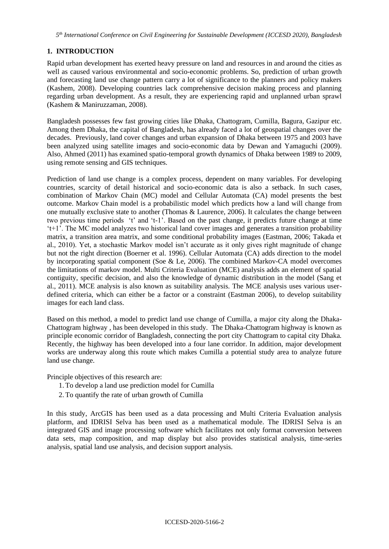## **1. INTRODUCTION**

Rapid urban development has exerted heavy pressure on land and resources in and around the cities as well as caused various environmental and socio-economic problems. So, prediction of urban growth and forecasting land use change pattern carry a lot of significance to the planners and policy makers (Kashem, 2008). Developing countries lack comprehensive decision making process and planning regarding urban development. As a result, they are experiencing rapid and unplanned urban sprawl (Kashem & Maniruzzaman, 2008).

Bangladesh possesses few fast growing cities like Dhaka, Chattogram, Cumilla, Bagura, Gazipur etc. Among them Dhaka, the capital of Bangladesh, has already faced a lot of geospatial changes over the decades. Previously, land cover changes and urban expansion of Dhaka between 1975 and 2003 have been analyzed using satellite images and socio-economic data by Dewan and Yamaguchi (2009). Also, Ahmed (2011) has examined spatio-temporal growth dynamics of Dhaka between 1989 to 2009, using remote sensing and GIS techniques.

Prediction of land use change is a complex process, dependent on many variables. For developing countries, scarcity of detail historical and socio-economic data is also a setback. In such cases, combination of Markov Chain (MC) model and Cellular Automata (CA) model presents the best outcome. Markov Chain model is a probabilistic model which predicts how a land will change from one mutually exclusive state to another (Thomas  $&$  Laurence, 2006). It calculates the change between two previous time periods 't' and 't-1'. Based on the past change, it predicts future change at time 't+1'. The MC model analyzes two historical land cover images and generates a transition probability matrix, a transition area matrix, and some conditional probability images (Eastman, 2006; Takada et al., 2010). Yet, a stochastic Markov model isn't accurate as it only gives right magnitude of change but not the right direction (Boerner et al. 1996). Cellular Automata (CA) adds direction to the model by incorporating spatial component (Soe & Le, 2006). The combined Markov-CA model overcomes the limitations of markov model. Multi Criteria Evaluation (MCE) analysis adds an element of spatial contiguity, specific decision, and also the knowledge of dynamic distribution in the model (Sang et al., 2011). MCE analysis is also known as suitability analysis. The MCE analysis uses various userdefined criteria, which can either be a factor or a constraint (Eastman 2006), to develop suitability images for each land class.

Based on this method, a model to predict land use change of Cumilla, a major city along the Dhaka-Chattogram highway , has been developed in this study. The Dhaka-Chattogram highway is known as principle economic corridor of Bangladesh, connecting the port city Chattogram to capital city Dhaka. Recently, the highway has been developed into a four lane corridor. In addition, major development works are underway along this route which makes Cumilla a potential study area to analyze future land use change.

Principle objectives of this research are:

- 1. To develop a land use prediction model for Cumilla
- 2. To quantify the rate of urban growth of Cumilla

In this study, ArcGIS has been used as a data processing and Multi Criteria Evaluation analysis platform, and IDRISI Selva has been used as a mathematical module. The IDRISI Selva is an integrated GIS and image processing software which facilitates not only format conversion between data sets, map composition, and map display but also provides statistical analysis, time-series analysis, spatial land use analysis, and decision support analysis.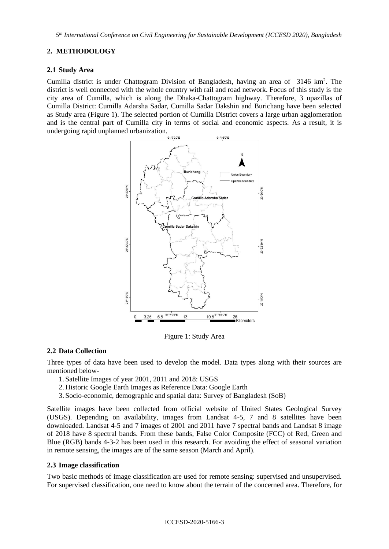*5 th International Conference on Civil Engineering for Sustainable Development (ICCESD 2020), Bangladesh*

### **2. METHODOLOGY**

#### **2.1 Study Area**

Cumilla district is under Chattogram Division of Bangladesh, having an area of 3146 km<sup>2</sup>. The district is well connected with the whole country with rail and road network. Focus of this study is the city area of Cumilla, which is along the Dhaka-Chattogram highway. Therefore, 3 upazillas of Cumilla District: Cumilla Adarsha Sadar, Cumilla Sadar Dakshin and Burichang have been selected as Study area (Figure 1). The selected portion of Cumilla District covers a large urban agglomeration and is the central part of Cumilla city in terms of social and economic aspects. As a result, it is undergoing rapid unplanned urbanization.



Figure 1: Study Area

#### **2.2 Data Collection**

Three types of data have been used to develop the model. Data types along with their sources are mentioned below-

- 1. Satellite Images of year 2001, 2011 and 2018: USGS
- 2. Historic Google Earth Images as Reference Data: Google Earth
- 3. Socio-economic, demographic and spatial data: Survey of Bangladesh (SoB)

Satellite images have been collected from official website of United States Geological Survey (USGS). Depending on availability, images from Landsat 4-5, 7 and 8 satellites have been downloaded. Landsat 4-5 and 7 images of 2001 and 2011 have 7 spectral bands and Landsat 8 image of 2018 have 8 spectral bands. From these bands, False Color Composite (FCC) of Red, Green and Blue (RGB) bands 4-3-2 has been used in this research. For avoiding the effect of seasonal variation in remote sensing, the images are of the same season (March and April).

#### **2.3 Image classification**

Two basic methods of image classification are used for remote sensing: supervised and unsupervised. For supervised classification, one need to know about the terrain of the concerned area. Therefore, for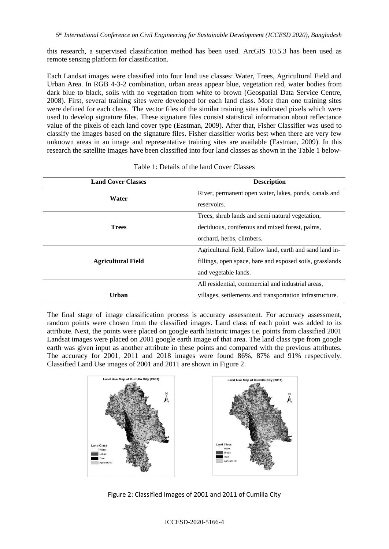this research, a supervised classification method has been used. ArcGIS 10.5.3 has been used as remote sensing platform for classification.

Each Landsat images were classified into four land use classes: Water, Trees, Agricultural Field and Urban Area. In RGB 4-3-2 combination, urban areas appear blue, vegetation red, water bodies from dark blue to black, soils with no vegetation from white to brown (Geospatial Data Service Centre, 2008). First, several training sites were developed for each land class. More than one training sites were defined for each class. The vector files of the similar training sites indicated pixels which were used to develop signature files. These signature files consist statistical information about reflectance value of the pixels of each land cover type (Eastman, 2009). After that, Fisher Classifier was used to classify the images based on the signature files. Fisher classifier works best when there are very few unknown areas in an image and representative training sites are available (Eastman, 2009). In this research the satellite images have been classified into four land classes as shown in the Table 1 below-

| <b>Land Cover Classes</b> | <b>Description</b>                                       |
|---------------------------|----------------------------------------------------------|
| Water                     | River, permanent open water, lakes, ponds, canals and    |
|                           | reservoirs.                                              |
|                           | Trees, shrub lands and semi natural vegetation,          |
| <b>Trees</b>              | deciduous, coniferous and mixed forest, palms,           |
|                           | orchard, herbs, climbers.                                |
|                           | Agricultural field, Fallow land, earth and sand land in- |
| <b>Agricultural Field</b> | fillings, open space, bare and exposed soils, grasslands |
|                           | and vegetable lands.                                     |
|                           | All residential, commercial and industrial areas,        |
| Urban                     | villages, settlements and transportation infrastructure. |

| Table 1: Details of the land Cover Classes |  |  |  |
|--------------------------------------------|--|--|--|
|--------------------------------------------|--|--|--|

The final stage of image classification process is accuracy assessment. For accuracy assessment, random points were chosen from the classified images. Land class of each point was added to its attribute. Next, the points were placed on google earth historic images i.e. points from classified 2001 Landsat images were placed on 2001 google earth image of that area. The land class type from google earth was given input as another attribute in these points and compared with the previous attributes. The accuracy for 2001, 2011 and 2018 images were found 86%, 87% and 91% respectively. Classified Land Use images of 2001 and 2011 are shown in Figure 2.



Figure 2: Classified Images of 2001 and 2011 of Cumilla City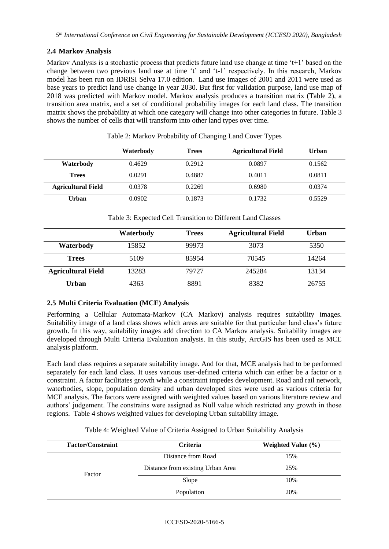## **2.4 Markov Analysis**

Markov Analysis is a stochastic process that predicts future land use change at time 't+1' based on the change between two previous land use at time 't' and 't-1' respectively. In this research, Markov model has been run on IDRISI Selva 17.0 edition. Land use images of 2001 and 2011 were used as base years to predict land use change in year 2030. But first for validation purpose, land use map of 2018 was predicted with Markov model. Markov analysis produces a transition matrix (Table 2), a transition area matrix, and a set of conditional probability images for each land class. The transition matrix shows the probability at which one category will change into other categories in future. Table 3 shows the number of cells that will transform into other land types over time.

|                           | Waterbody | <b>Trees</b> | <b>Agricultural Field</b> | Urban  |
|---------------------------|-----------|--------------|---------------------------|--------|
| Waterbody                 | 0.4629    | 0.2912       | 0.0897                    | 0.1562 |
| <b>Trees</b>              | 0.0291    | 0.4887       | 0.4011                    | 0.0811 |
| <b>Agricultural Field</b> | 0.0378    | 0.2269       | 0.6980                    | 0.0374 |
| Urban                     | 0.0902    | 0.1873       | 0.1732                    | 0.5529 |

Table 2: Markov Probability of Changing Land Cover Types

Table 3: Expected Cell Transition to Different Land Classes

|                           | Waterbody | <b>Trees</b> | <b>Agricultural Field</b> | Urban |
|---------------------------|-----------|--------------|---------------------------|-------|
| Waterbody                 | 15852     | 99973        | 3073                      | 5350  |
| <b>Trees</b>              | 5109      | 85954        | 70545                     | 14264 |
| <b>Agricultural Field</b> | 13283     | 79727        | 245284                    | 13134 |
| Urban                     | 4363      | 8891         | 8382                      | 26755 |

#### **2.5 Multi Criteria Evaluation (MCE) Analysis**

Performing a Cellular Automata-Markov (CA Markov) analysis requires suitability images. Suitability image of a land class shows which areas are suitable for that particular land class's future growth. In this way, suitability images add direction to CA Markov analysis. Suitability images are developed through Multi Criteria Evaluation analysis. In this study, ArcGIS has been used as MCE analysis platform.

Each land class requires a separate suitability image. And for that, MCE analysis had to be performed separately for each land class. It uses various user-defined criteria which can either be a factor or a constraint. A factor facilitates growth while a constraint impedes development. Road and rail network, waterbodies, slope, population density and urban developed sites were used as various criteria for MCE analysis. The factors were assigned with weighted values based on various literature review and authors' judgement. The constrains were assigned as Null value which restricted any growth in those regions. Table 4 shows weighted values for developing Urban suitability image.

| <b>Factor/Constraint</b> | <b>Criteria</b>                   | Weighted Value $(\% )$ |
|--------------------------|-----------------------------------|------------------------|
|                          | Distance from Road                | 15%                    |
| Factor                   | Distance from existing Urban Area | 25%                    |
|                          | Slope                             | 10%                    |
|                          | Population                        | 20%                    |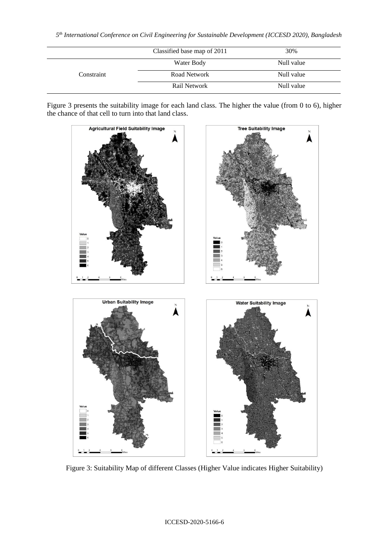|            | Classified base map of 2011 | 30%        |
|------------|-----------------------------|------------|
|            | Water Body                  | Null value |
| Constraint | Road Network                | Null value |
|            | Rail Network                | Null value |

Figure 3 presents the suitability image for each land class. The higher the value (from 0 to 6), higher the chance of that cell to turn into that land class.



Figure 3: Suitability Map of different Classes (Higher Value indicates Higher Suitability)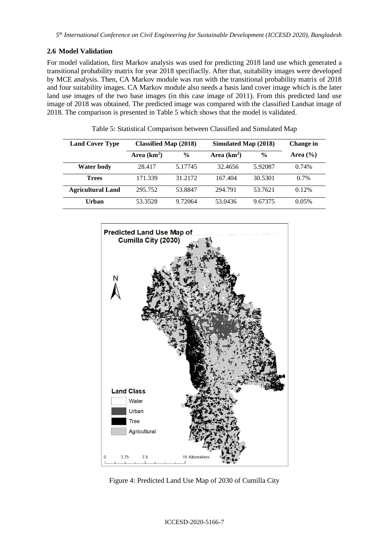## **2.6 Model Validation**

For model validation, first Markov analysis was used for predicting 2018 land use which generated a transitional probability matrix for year 2018 specifiaclly. After that, suitability images were developed by MCE analysis. Then, CA Markov module was run with the transitional probability matrix of 2018 and four suitability images. CA Markov module also needs a basis land cover image which is the later land use images of the two base images (in this case image of 2011). From this predicted land use image of 2018 was obtained. The predicted image was compared with the classified Landsat image of 2018. The comparison is presented in Table 5 which shows that the model is validated.

| <b>Land Cover Type</b>   | Classified Map (2018) |               | Simulated Map (2018) |               | Change in    |
|--------------------------|-----------------------|---------------|----------------------|---------------|--------------|
|                          | Area $(km2)$          | $\frac{0}{0}$ | Area $(km2)$         | $\frac{0}{0}$ | Area $(\% )$ |
| <b>Water body</b>        | 28.417                | 5.17745       | 32.4656              | 5.92087       | 0.74%        |
| <b>Trees</b>             | 171.339               | 31.2172       | 167.404              | 30.5301       | $0.7\%$      |
| <b>Agricultural Land</b> | 295.752               | 53.8847       | 294.791              | 53.7621       | 0.12%        |
| Urban                    | 53.3528               | 9.72064       | 53.0436              | 9.67375       | 0.05%        |

Table 5: Statistical Comparison between Classified and Simulated Map



Figure 4: Predicted Land Use Map of 2030 of Cumilla City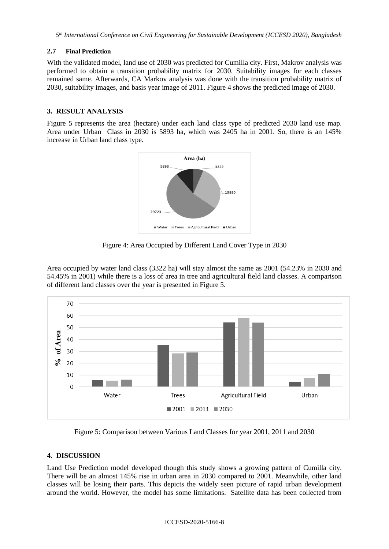#### **2.7 Final Prediction**

With the validated model, land use of 2030 was predicted for Cumilla city. First, Makrov analysis was performed to obtain a transition probability matrix for 2030. Suitability images for each classes remained same. Afterwards, CA Markov analysis was done with the transition probability matrix of 2030, suitability images, and basis year image of 2011. Figure 4 shows the predicted image of 2030.

### **3. RESULT ANALYSIS**

Figure 5 represents the area (hectare) under each land class type of predicted 2030 land use map. Area under Urban Class in 2030 is 5893 ha, which was 2405 ha in 2001. So, there is an 145% increase in Urban land class type.



Figure 4: Area Occupied by Different Land Cover Type in 2030

Area occupied by water land class (3322 ha) will stay almost the same as 2001 (54.23% in 2030 and 54.45% in 2001) while there is a loss of area in tree and agricultural field land classes. A comparison of different land classes over the year is presented in Figure 5.



Figure 5: Comparison between Various Land Classes for year 2001, 2011 and 2030

## **4. DISCUSSION**

Land Use Prediction model developed though this study shows a growing pattern of Cumilla city. There will be an almost 145% rise in urban area in 2030 compared to 2001. Meanwhile, other land classes will be losing their parts. This depicts the widely seen picture of rapid urban development around the world. However, the model has some limitations. Satellite data has been collected from